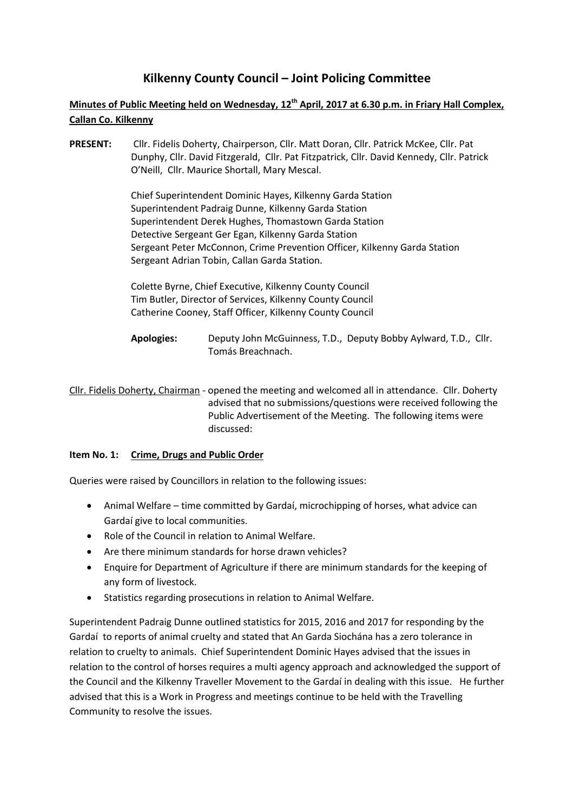# **Kilkenny County Council – Joint Policing Committee**

# **Minutes of Public Meeting held on Wednesday, 12th April, 2017 at 6.30 p.m. in Friary Hall Complex, Callan Co. Kilkenny**

**PRESENT:** Cllr. Fidelis Doherty, Chairperson, Cllr. Matt Doran, Cllr. Patrick McKee, Cllr. Pat Dunphy, Cllr. David Fitzgerald, Cllr. Pat Fitzpatrick, Cllr. David Kennedy, Cllr. Patrick O'Neill, Cllr. Maurice Shortall, Mary Mescal.

> Chief Superintendent Dominic Hayes, Kilkenny Garda Station Superintendent Padraig Dunne, Kilkenny Garda Station Superintendent Derek Hughes, Thomastown Garda Station Detective Sergeant Ger Egan, Kilkenny Garda Station Sergeant Peter McConnon, Crime Prevention Officer, Kilkenny Garda Station Sergeant Adrian Tobin, Callan Garda Station.

Colette Byrne, Chief Executive, Kilkenny County Council Tim Butler, Director of Services, Kilkenny County Council Catherine Cooney, Staff Officer, Kilkenny County Council

**Apologies:** Deputy John McGuinness, T.D., Deputy Bobby Aylward, T.D., Cllr. Tomás Breachnach.

Cllr. Fidelis Doherty, Chairman - opened the meeting and welcomed all in attendance. Cllr. Doherty advised that no submissions/questions were received following the Public Advertisement of the Meeting. The following items were discussed:

## **Item No. 1: Crime, Drugs and Public Order**

Queries were raised by Councillors in relation to the following issues:

- Animal Welfare time committed by Gardaí, microchipping of horses, what advice can Gardaí give to local communities.
- Role of the Council in relation to Animal Welfare.
- Are there minimum standards for horse drawn vehicles?
- Enquire for Department of Agriculture if there are minimum standards for the keeping of any form of livestock.
- Statistics regarding prosecutions in relation to Animal Welfare.

Superintendent Padraig Dunne outlined statistics for 2015, 2016 and 2017 for responding by the Gardaí to reports of animal cruelty and stated that An Garda Siochána has a zero tolerance in relation to cruelty to animals. Chief Superintendent Dominic Hayes advised that the issues in relation to the control of horses requires a multi agency approach and acknowledged the support of the Council and the Kilkenny Traveller Movement to the Gardaí in dealing with this issue. He further advised that this is a Work in Progress and meetings continue to be held with the Travelling Community to resolve the issues.